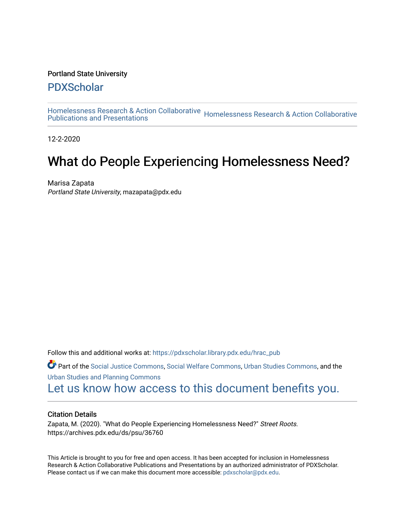#### Portland State University

## [PDXScholar](https://pdxscholar.library.pdx.edu/)

[Homelessness Research & Action Collaborative](https://pdxscholar.library.pdx.edu/hrac_pub) Homelessness Research & Action Collaborative<br>Publications and Presentations

12-2-2020

# What do People Experiencing Homelessness Need?

Marisa Zapata Portland State University, mazapata@pdx.edu

Follow this and additional works at: [https://pdxscholar.library.pdx.edu/hrac\\_pub](https://pdxscholar.library.pdx.edu/hrac_pub?utm_source=pdxscholar.library.pdx.edu%2Fhrac_pub%2F26&utm_medium=PDF&utm_campaign=PDFCoverPages) 

Part of the [Social Justice Commons,](http://network.bepress.com/hgg/discipline/1432?utm_source=pdxscholar.library.pdx.edu%2Fhrac_pub%2F26&utm_medium=PDF&utm_campaign=PDFCoverPages) [Social Welfare Commons](http://network.bepress.com/hgg/discipline/401?utm_source=pdxscholar.library.pdx.edu%2Fhrac_pub%2F26&utm_medium=PDF&utm_campaign=PDFCoverPages), [Urban Studies Commons,](http://network.bepress.com/hgg/discipline/402?utm_source=pdxscholar.library.pdx.edu%2Fhrac_pub%2F26&utm_medium=PDF&utm_campaign=PDFCoverPages) and the [Urban Studies and Planning Commons](http://network.bepress.com/hgg/discipline/436?utm_source=pdxscholar.library.pdx.edu%2Fhrac_pub%2F26&utm_medium=PDF&utm_campaign=PDFCoverPages) 

[Let us know how access to this document benefits you.](http://library.pdx.edu/services/pdxscholar-services/pdxscholar-feedback/?ref=https://pdxscholar.library.pdx.edu/hrac_pub/26) 

#### Citation Details

Zapata, M. (2020). "What do People Experiencing Homelessness Need?" Street Roots. https://archives.pdx.edu/ds/psu/36760

This Article is brought to you for free and open access. It has been accepted for inclusion in Homelessness Research & Action Collaborative Publications and Presentations by an authorized administrator of PDXScholar. Please contact us if we can make this document more accessible: [pdxscholar@pdx.edu](mailto:pdxscholar@pdx.edu).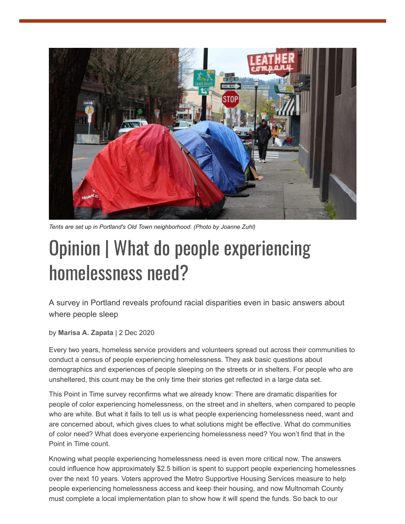

*Tents are set up in Portland's Old Town neighborhood. (Photo by Joanne Zuhl)*

# Opinion | What do people experiencing homelessness need?

A survey in Portland reveals profound racial disparities even in basic answers about where people sleep

by **[Marisa A. Zapata](https://www.streetroots.org/users/marisa-zapata)** | 2 Dec 2020

Every two years, homeless service providers and volunteers spread out across their communities to conduct a census of people experiencing homelessness. They ask basic questions about demographics and experiences of people sleeping on the streets or in shelters. For people who are unsheltered, this count may be the only time their stories get reflected in a large data set.

This Point in Time survey reconfirms what we already know: There are dramatic disparities for people of color experiencing homelessness, on the street and in shelters, when compared to people who are white. But what it fails to tell us is what people experiencing homelessness need, want and are concerned about, which gives clues to what solutions might be effective. What do communities of color need? What does everyone experiencing homelessness need? You won't find that in the Point in Time count.

Knowing what people experiencing homelessness need is even more critical now. The answers could influence how approximately \$2.5 billion is spent to support people experiencing homelessnes over the next 10 years. Voters approved the Metro Supportive Housing Services measure to help people experiencing homelessness access and keep their housing, and now Multnomah County must complete a local implementation plan to show how it will spend the funds. So back to our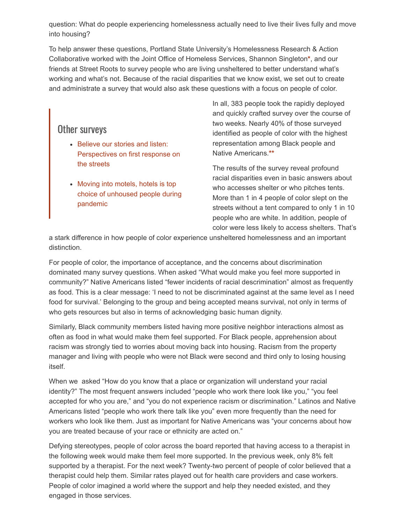question: What do people experiencing homelessness actually need to live their lives fully and move into housing?

To help answer these questions, Portland State University's Homelessness Research & Action Collaborative worked with the Joint Office of Homeless Services, Shannon Singleton**[\\*](#page-3-0)**, and our friends at Street Roots to survey people who are living unsheltered to better understand what's working and what's not. Because of the racial disparities that we know exist, we set out to create and administrate a survey that would also ask these questions with a focus on people of color.

### Other surveys

- Believe our stories and listen: [Perspectives on first response on](https://www.streetroots.org/news/2019/09/19/believe-our-stories-and-listen-perspectives-first-response-streets) the streets
- Moving into motels, hotels is top [choice of unhoused people during](https://www.streetroots.org/news/2020/05/22/survey-moving-motels-hotels-top-choice-unhoused-people) pandemic

In all, 383 people took the rapidly deployed and quickly crafted survey over the course of two weeks. Nearly 40% of those surveyed identified as people of color with the highest representation among Black people and Native Americans.**[\\*\\*](#page-3-0)**

The results of the survey reveal profound racial disparities even in basic answers about who accesses shelter or who pitches tents. More than 1 in 4 people of color slept on the streets without a tent compared to only 1 in 10 people who are white. In addition, people of color were less likely to access shelters. That's

a stark difference in how people of color experience unsheltered homelessness and an important distinction.

For people of color, the importance of acceptance, and the concerns about discrimination dominated many survey questions. When asked "What would make you feel more supported in community?" Native Americans listed "fewer incidents of racial descrimination" almost as frequently as food. This is a clear message: 'I need to not be discriminated against at the same level as I need food for survival.' Belonging to the group and being accepted means survival, not only in terms of who gets resources but also in terms of acknowledging basic human dignity.

Similarly, Black community members listed having more positive neighbor interactions almost as often as food in what would make them feel supported. For Black people, apprehension about racism was strongly tied to worries about moving back into housing. Racism from the property manager and living with people who were not Black were second and third only to losing housing itself.

When we asked "How do you know that a place or organization will understand your racial identity?" The most frequent answers included "people who work there look like you," "you feel accepted for who you are," and "you do not experience racism or discrimination." Latinos and Native Americans listed "people who work there talk like you" even more frequently than the need for workers who look like them. Just as important for Native Americans was "your concerns about how you are treated because of your race or ethnicity are acted on."

Defying stereotypes, people of color across the board reported that having access to a therapist in the following week would make them feel more supported. In the previous week, only 8% felt supported by a therapist. For the next week? Twenty-two percent of people of color believed that a therapist could help them. Similar rates played out for health care providers and case workers. People of color imagined a world where the support and help they needed existed, and they engaged in those services.